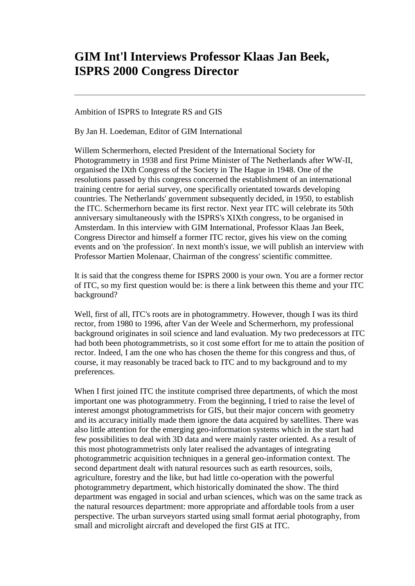## **GIM Int'l Interviews Professor Klaas Jan Beek, ISPRS 2000 Congress Director**

Ambition of ISPRS to Integrate RS and GIS

By Jan H. Loedeman, Editor of GIM International

Willem Schermerhorn, elected President of the International Society for Photogrammetry in 1938 and first Prime Minister of The Netherlands after WW-II, organised the IXth Congress of the Society in The Hague in 1948. One of the resolutions passed by this congress concerned the establishment of an international training centre for aerial survey, one specifically orientated towards developing countries. The Netherlands' government subsequently decided, in 1950, to establish the ITC. Schermerhorn became its first rector. Next year ITC will celebrate its 50th anniversary simultaneously with the ISPRS's XIXth congress, to be organised in Amsterdam. In this interview with GIM International, Professor Klaas Jan Beek, Congress Director and himself a former ITC rector, gives his view on the coming events and on 'the profession'. In next month's issue, we will publish an interview with Professor Martien Molenaar, Chairman of the congress' scientific committee.

It is said that the congress theme for ISPRS 2000 is your own. You are a former rector of ITC, so my first question would be: is there a link between this theme and your ITC background?

Well, first of all, ITC's roots are in photogrammetry. However, though I was its third rector, from 1980 to 1996, after Van der Weele and Schermerhorn, my professional background originates in soil science and land evaluation. My two predecessors at ITC had both been photogrammetrists, so it cost some effort for me to attain the position of rector. Indeed, I am the one who has chosen the theme for this congress and thus, of course, it may reasonably be traced back to ITC and to my background and to my preferences.

When I first joined ITC the institute comprised three departments, of which the most important one was photogrammetry. From the beginning, I tried to raise the level of interest amongst photogrammetrists for GIS, but their major concern with geometry and its accuracy initially made them ignore the data acquired by satellites. There was also little attention for the emerging geo-information systems which in the start had few possibilities to deal with 3D data and were mainly raster oriented. As a result of this most photogrammetrists only later realised the advantages of integrating photogrammetric acquisition techniques in a general geo-information context. The second department dealt with natural resources such as earth resources, soils, agriculture, forestry and the like, but had little co-operation with the powerful photogrammetry department, which historically dominated the show. The third department was engaged in social and urban sciences, which was on the same track as the natural resources department: more appropriate and affordable tools from a user perspective. The urban surveyors started using small format aerial photography, from small and microlight aircraft and developed the first GIS at ITC.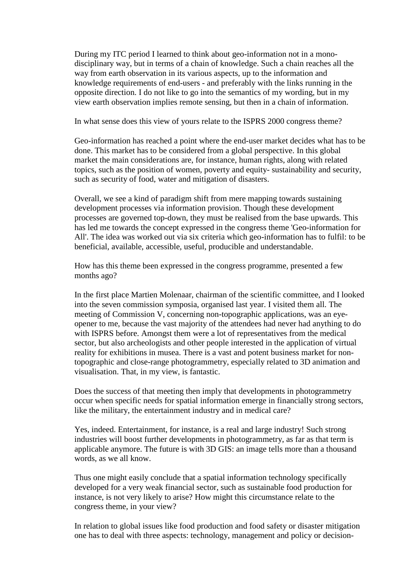During my ITC period I learned to think about geo-information not in a monodisciplinary way, but in terms of a chain of knowledge. Such a chain reaches all the way from earth observation in its various aspects, up to the information and knowledge requirements of end-users - and preferably with the links running in the opposite direction. I do not like to go into the semantics of my wording, but in my view earth observation implies remote sensing, but then in a chain of information.

In what sense does this view of yours relate to the ISPRS 2000 congress theme?

Geo-information has reached a point where the end-user market decides what has to be done. This market has to be considered from a global perspective. In this global market the main considerations are, for instance, human rights, along with related topics, such as the position of women, poverty and equity- sustainability and security, such as security of food, water and mitigation of disasters.

Overall, we see a kind of paradigm shift from mere mapping towards sustaining development processes via information provision. Though these development processes are governed top-down, they must be realised from the base upwards. This has led me towards the concept expressed in the congress theme 'Geo-information for All'. The idea was worked out via six criteria which geo-information has to fulfil: to be beneficial, available, accessible, useful, producible and understandable.

How has this theme been expressed in the congress programme, presented a few months ago?

In the first place Martien Molenaar, chairman of the scientific committee, and I looked into the seven commission symposia, organised last year. I visited them all. The meeting of Commission V, concerning non-topographic applications, was an eyeopener to me, because the vast majority of the attendees had never had anything to do with ISPRS before. Amongst them were a lot of representatives from the medical sector, but also archeologists and other people interested in the application of virtual reality for exhibitions in musea. There is a vast and potent business market for nontopographic and close-range photogrammetry, especially related to 3D animation and visualisation. That, in my view, is fantastic.

Does the success of that meeting then imply that developments in photogrammetry occur when specific needs for spatial information emerge in financially strong sectors, like the military, the entertainment industry and in medical care?

Yes, indeed. Entertainment, for instance, is a real and large industry! Such strong industries will boost further developments in photogrammetry, as far as that term is applicable anymore. The future is with 3D GIS: an image tells more than a thousand words, as we all know.

Thus one might easily conclude that a spatial information technology specifically developed for a very weak financial sector, such as sustainable food production for instance, is not very likely to arise? How might this circumstance relate to the congress theme, in your view?

In relation to global issues like food production and food safety or disaster mitigation one has to deal with three aspects: technology, management and policy or decision-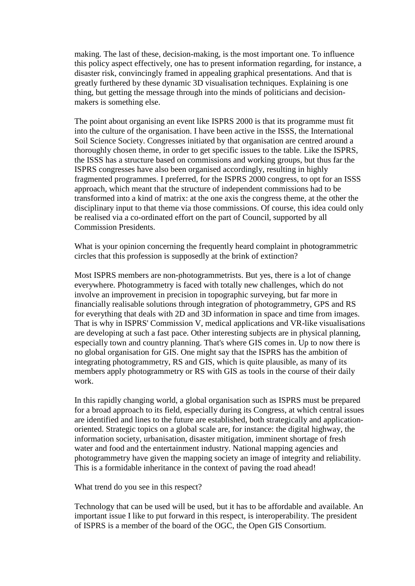making. The last of these, decision-making, is the most important one. To influence this policy aspect effectively, one has to present information regarding, for instance, a disaster risk, convincingly framed in appealing graphical presentations. And that is greatly furthered by these dynamic 3D visualisation techniques. Explaining is one thing, but getting the message through into the minds of politicians and decisionmakers is something else.

The point about organising an event like ISPRS 2000 is that its programme must fit into the culture of the organisation. I have been active in the ISSS, the International Soil Science Society. Congresses initiated by that organisation are centred around a thoroughly chosen theme, in order to get specific issues to the table. Like the ISPRS, the ISSS has a structure based on commissions and working groups, but thus far the ISPRS congresses have also been organised accordingly, resulting in highly fragmented programmes. I preferred, for the ISPRS 2000 congress, to opt for an ISSS approach, which meant that the structure of independent commissions had to be transformed into a kind of matrix: at the one axis the congress theme, at the other the disciplinary input to that theme via those commissions. Of course, this idea could only be realised via a co-ordinated effort on the part of Council, supported by all Commission Presidents.

What is your opinion concerning the frequently heard complaint in photogrammetric circles that this profession is supposedly at the brink of extinction?

Most ISPRS members are non-photogrammetrists. But yes, there is a lot of change everywhere. Photogrammetry is faced with totally new challenges, which do not involve an improvement in precision in topographic surveying, but far more in financially realisable solutions through integration of photogrammetry, GPS and RS for everything that deals with 2D and 3D information in space and time from images. That is why in ISPRS' Commission V, medical applications and VR-like visualisations are developing at such a fast pace. Other interesting subjects are in physical planning, especially town and country planning. That's where GIS comes in. Up to now there is no global organisation for GIS. One might say that the ISPRS has the ambition of integrating photogrammetry, RS and GIS, which is quite plausible, as many of its members apply photogrammetry or RS with GIS as tools in the course of their daily work.

In this rapidly changing world, a global organisation such as ISPRS must be prepared for a broad approach to its field, especially during its Congress, at which central issues are identified and lines to the future are established, both strategically and applicationoriented. Strategic topics on a global scale are, for instance: the digital highway, the information society, urbanisation, disaster mitigation, imminent shortage of fresh water and food and the entertainment industry. National mapping agencies and photogrammetry have given the mapping society an image of integrity and reliability. This is a formidable inheritance in the context of paving the road ahead!

What trend do you see in this respect?

Technology that can be used will be used, but it has to be affordable and available. An important issue I like to put forward in this respect, is interoperability. The president of ISPRS is a member of the board of the OGC, the Open GIS Consortium.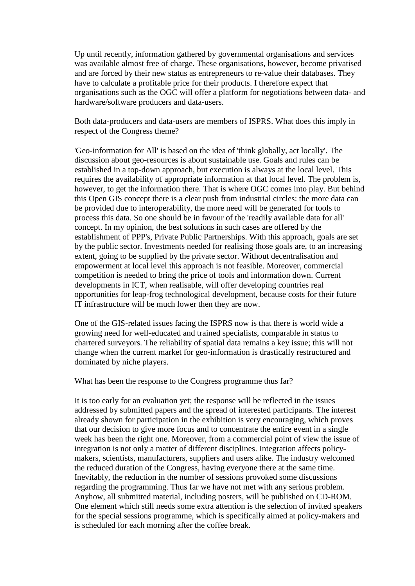Up until recently, information gathered by governmental organisations and services was available almost free of charge. These organisations, however, become privatised and are forced by their new status as entrepreneurs to re-value their databases. They have to calculate a profitable price for their products. I therefore expect that organisations such as the OGC will offer a platform for negotiations between data- and hardware/software producers and data-users.

Both data-producers and data-users are members of ISPRS. What does this imply in respect of the Congress theme?

'Geo-information for All' is based on the idea of 'think globally, act locally'. The discussion about geo-resources is about sustainable use. Goals and rules can be established in a top-down approach, but execution is always at the local level. This requires the availability of appropriate information at that local level. The problem is, however, to get the information there. That is where OGC comes into play. But behind this Open GIS concept there is a clear push from industrial circles: the more data can be provided due to interoperability, the more need will be generated for tools to process this data. So one should be in favour of the 'readily available data for all' concept. In my opinion, the best solutions in such cases are offered by the establishment of PPP's, Private Public Partnerships. With this approach, goals are set by the public sector. Investments needed for realising those goals are, to an increasing extent, going to be supplied by the private sector. Without decentralisation and empowerment at local level this approach is not feasible. Moreover, commercial competition is needed to bring the price of tools and information down. Current developments in ICT, when realisable, will offer developing countries real opportunities for leap-frog technological development, because costs for their future IT infrastructure will be much lower then they are now.

One of the GIS-related issues facing the ISPRS now is that there is world wide a growing need for well-educated and trained specialists, comparable in status to chartered surveyors. The reliability of spatial data remains a key issue; this will not change when the current market for geo-information is drastically restructured and dominated by niche players.

What has been the response to the Congress programme thus far?

It is too early for an evaluation yet; the response will be reflected in the issues addressed by submitted papers and the spread of interested participants. The interest already shown for participation in the exhibition is very encouraging, which proves that our decision to give more focus and to concentrate the entire event in a single week has been the right one. Moreover, from a commercial point of view the issue of integration is not only a matter of different disciplines. Integration affects policymakers, scientists, manufacturers, suppliers and users alike. The industry welcomed the reduced duration of the Congress, having everyone there at the same time. Inevitably, the reduction in the number of sessions provoked some discussions regarding the programming. Thus far we have not met with any serious problem. Anyhow, all submitted material, including posters, will be published on CD-ROM. One element which still needs some extra attention is the selection of invited speakers for the special sessions programme, which is specifically aimed at policy-makers and is scheduled for each morning after the coffee break.